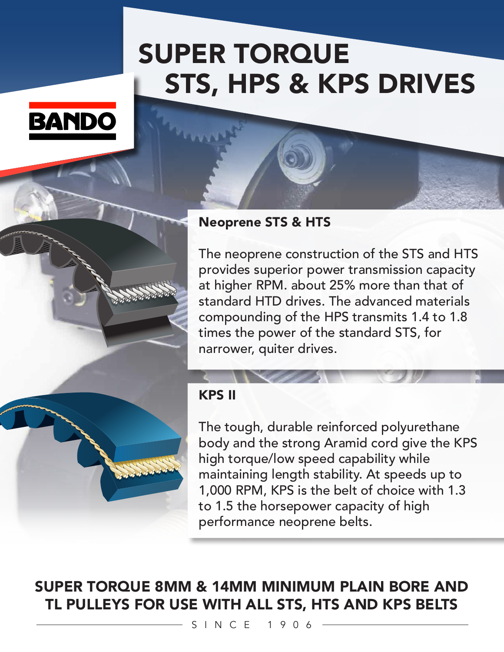## SUPER TORQUE STS, HPS & KPS DRIVES





The neoprene construction of the STS and HTS provides superior power transmission capacity at higher RPM. about 25% more than that of standard HTD drives. The advanced materials compounding of the HPS transmits 1.4 to 1.8 times the power of the standard STS, for narrower, quiter drives.



## KPS II

The tough, durable reinforced polyurethane body and the strong Aramid cord give the KPS high torque/low speed capability while maintaining length stability. At speeds up to 1,000 RPM, KPS is the belt of choice with 1.3 to 1.5 the horsepower capacity of high performance neoprene belts.

SUPER TORQUE 8MM & 14MM MINIMUM PLAIN BORE AND TL PULLEYS FOR USE WITH ALL STS, HTS AND KPS BELTS